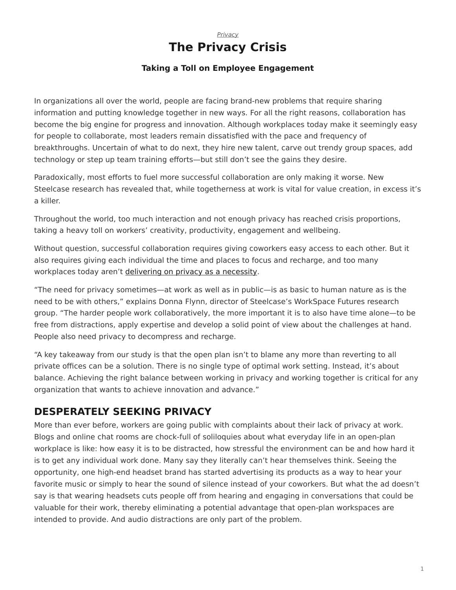## *[Privacy](https://www.steelcase.com/research/topics/privacy/)* **The Privacy Crisis**

### **Taking a Toll on Employee Engagement**

<span id="page-0-0"></span>In organizations all over the world, people are facing brand-new problems that require sharing information and putting knowledge together in new ways. For all the right reasons, collaboration has become the big engine for progress and innovation. Although workplaces today make it seemingly easy for people to collaborate, most leaders remain dissatisfied with the pace and frequency of breakthroughs. Uncertain of what to do next, they hire new talent, carve out trendy group spaces, add technology or step up team training efforts—but still don't see the gains they desire.

Paradoxically, most efforts to fuel more successful collaboration are only making it worse. New Steelcase research has revealed that, while togetherness at work is vital for value creation, in excess it's a killer.

Throughout the world, too much interaction and not enough privacy has reached crisis proportions, taking a heavy toll on workers' creativity, productivity, engagement and wellbeing.

Without question, successful collaboration requires giving coworkers easy access to each other. But it also requires giving each individual the time and places to focus and recharge, and too many workplaces today aren't [delivering on privacy as a necessity.](https://www.steelcase.com/office-privacy/)

"The need for privacy sometimes—at work as well as in public—is as basic to human nature as is the need to be with others," explains Donna Flynn, director of Steelcase's WorkSpace Futures research group. "The harder people work collaboratively, the more important it is to also have time alone—to be free from distractions, apply expertise and develop a solid point of view about the challenges at hand. People also need privacy to decompress and recharge.

"A key takeaway from our study is that the open plan isn't to blame any more than reverting to all private offices can be a solution. There is no single type of optimal work setting. Instead, it's about balance. Achieving the right balance between working in privacy and working together is critical for any organization that wants to achieve innovation and advance."

## **DESPERATELY SEEKING PRIVACY**

More than ever before, workers are going public with complaints about their lack of privacy at work. Blogs and online chat rooms are chock-full of soliloquies about what everyday life in an open-plan workplace is like: how easy it is to be distracted, how stressful the environment can be and how hard it is to get any individual work done. Many say they literally can't hear themselves think. Seeing the opportunity, one high-end headset brand has started advertising its products as a way to hear your favorite music or simply to hear the sound of silence instead of your coworkers. But what the ad doesn't say is that wearing headsets cuts people off from hearing and engaging in conversations that could be valuable for their work, thereby eliminating a potential advantage that open-plan workspaces are intended to provide. And audio distractions are only part of the problem.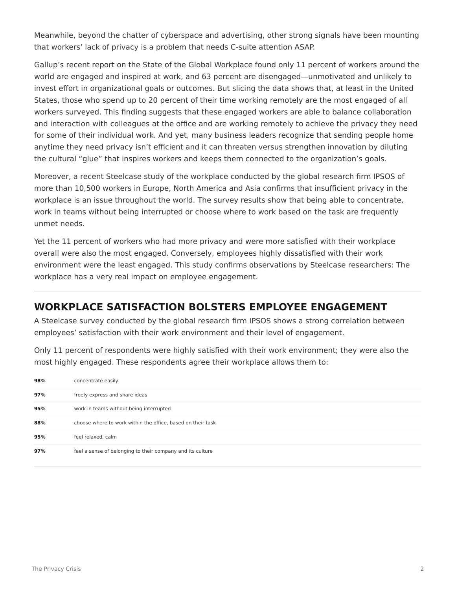Meanwhile, beyond the chatter of cyberspace and advertising, other strong signals have been mounting that workers' lack of privacy is a problem that needs C-suite attention ASAP.

Gallup's recent report on the State of the Global Workplace found only 11 percent of workers around the world are engaged and inspired at work, and 63 percent are disengaged—unmotivated and unlikely to invest effort in organizational goals or outcomes. But slicing the data shows that, at least in the United States, those who spend up to 20 percent of their time working remotely are the most engaged of all workers surveyed. This finding suggests that these engaged workers are able to balance collaboration and interaction with colleagues at the office and are working remotely to achieve the privacy they need for some of their individual work. And yet, many business leaders recognize that sending people home anytime they need privacy isn't efficient and it can threaten versus strengthen innovation by diluting the cultural "glue" that inspires workers and keeps them connected to the organization's goals.

Moreover, a recent Steelcase study of the workplace conducted by the global research firm IPSOS of more than 10,500 workers in Europe, North America and Asia confirms that insufficient privacy in the workplace is an issue throughout the world. The survey results show that being able to concentrate, work in teams without being interrupted or choose where to work based on the task are frequently unmet needs.

Yet the 11 percent of workers who had more privacy and were more satisfied with their workplace overall were also the most engaged. Conversely, employees highly dissatisfied with their work environment were the least engaged. This study confirms observations by Steelcase researchers: The workplace has a very real impact on employee engagement.

# **WORKPLACE SATISFACTION BOLSTERS EMPLOYEE ENGAGEMENT**

A Steelcase survey conducted by the global research firm IPSOS shows a strong correlation between employees' satisfaction with their work environment and their level of engagement.

Only 11 percent of respondents were highly satisfied with their work environment; they were also the most highly engaged. These respondents agree their workplace allows them to:

| 98% | concentrate easily                                          |
|-----|-------------------------------------------------------------|
| 97% | freely express and share ideas                              |
| 95% | work in teams without being interrupted                     |
| 88% | choose where to work within the office, based on their task |
| 95% | feel relaxed, calm                                          |
| 97% | feel a sense of belonging to their company and its culture  |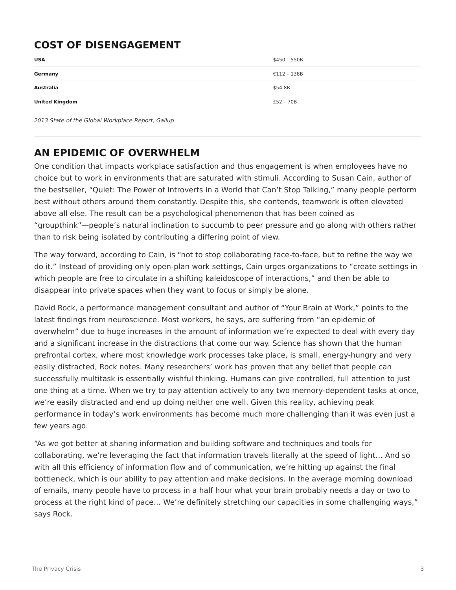# **COST OF DISENGAGEMENT**

| <b>USA</b>            | \$450 - 550B |
|-----------------------|--------------|
| Germany               | €112 - 138B  |
| <b>Australia</b>      | \$54.8B      |
| <b>United Kingdom</b> | $£52 - 70B$  |

*2013 State of the Global Workplace Report, Gallup*

# **AN EPIDEMIC OF OVERWHELM**

One condition that impacts workplace satisfaction and thus engagement is when employees have no choice but to work in environments that are saturated with stimuli. According to Susan Cain, author of the bestseller, "Quiet: The Power of Introverts in a World that Can't Stop Talking," many people perform best without others around them constantly. Despite this, she contends, teamwork is often elevated above all else. The result can be a psychological phenomenon that has been coined as "groupthink"—people's natural inclination to succumb to peer pressure and go along with others rather than to risk being isolated by contributing a differing point of view.

The way forward, according to Cain, is "not to stop collaborating face-to-face, but to refine the way we do it." Instead of providing only open-plan work settings, Cain urges organizations to "create settings in which people are free to circulate in a shifting kaleidoscope of interactions," and then be able to disappear into private spaces when they want to focus or simply be alone.

David Rock, a performance management consultant and author of "Your Brain at Work," points to the latest findings from neuroscience. Most workers, he says, are suffering from "an epidemic of overwhelm" due to huge increases in the amount of information we're expected to deal with every day and a significant increase in the distractions that come our way. Science has shown that the human prefrontal cortex, where most knowledge work processes take place, is small, energy-hungry and very easily distracted, Rock notes. Many researchers' work has proven that any belief that people can successfully multitask is essentially wishful thinking. Humans can give controlled, full attention to just one thing at a time. When we try to pay attention actively to any two memory-dependent tasks at once, we're easily distracted and end up doing neither one well. Given this reality, achieving peak performance in today's work environments has become much more challenging than it was even just a few years ago.

"As we got better at sharing information and building software and techniques and tools for collaborating, we're leveraging the fact that information travels literally at the speed of light… And so with all this efficiency of information flow and of communication, we're hitting up against the final bottleneck, which is our ability to pay attention and make decisions. In the average morning download of emails, many people have to process in a half hour what your brain probably needs a day or two to process at the right kind of pace… We're definitely stretching our capacities in some challenging ways," says Rock.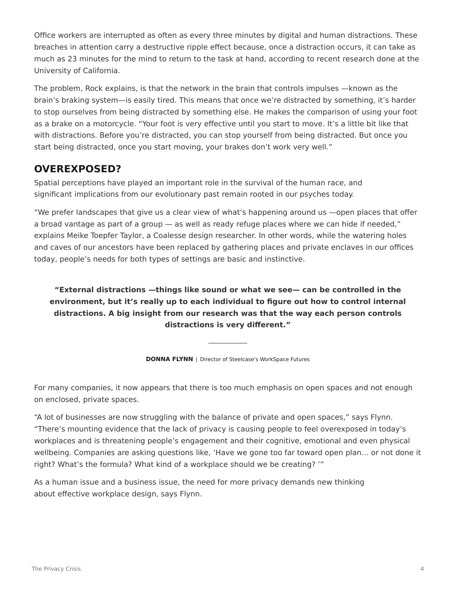Office workers are interrupted as often as every three minutes by digital and human distractions. These breaches in attention carry a destructive ripple effect because, once a distraction occurs, it can take as much as 23 minutes for the mind to return to the task at hand, according to recent research done at the University of California.

The problem, Rock explains, is that the network in the brain that controls impulses —known as the brain's braking system—is easily tired. This means that once we're distracted by something, it's harder to stop ourselves from being distracted by something else. He makes the comparison of using your foot as a brake on a motorcycle. "Your foot is very effective until you start to move. It's a little bit like that with distractions. Before you're distracted, you can stop yourself from being distracted. But once you start being distracted, once you start moving, your brakes don't work very well."

# **OVEREXPOSED?**

Spatial perceptions have played an important role in the survival of the human race, and significant implications from our evolutionary past remain rooted in our psyches today.

"We prefer landscapes that give us a clear view of what's happening around us —open places that offer a broad vantage as part of a group — as well as ready refuge places where we can hide if needed," explains Meike Toepfer Taylor, a Coalesse design researcher. In other words, while the watering holes and caves of our ancestors have been replaced by gathering places and private enclaves in our offices today, people's needs for both types of settings are basic and instinctive.

### **"External distractions —things like sound or what we see— can be controlled in the environment, but it's really up to each individual to figure out how to control internal distractions. A big insight from our research was that the way each person controls distractions is very different."**

**DONNA FLYNN** | Director of Steelcase's WorkSpace Futures

For many companies, it now appears that there is too much emphasis on open spaces and not enough on enclosed, private spaces.

"A lot of businesses are now struggling with the balance of private and open spaces," says Flynn. "There's mounting evidence that the lack of privacy is causing people to feel overexposed in today's workplaces and is threatening people's engagement and their cognitive, emotional and even physical wellbeing. Companies are asking questions like, 'Have we gone too far toward open plan… or not done it right? What's the formula? What kind of a workplace should we be creating? '"

As a human issue and a business issue, the need for more privacy demands new thinking about effective workplace design, says Flynn.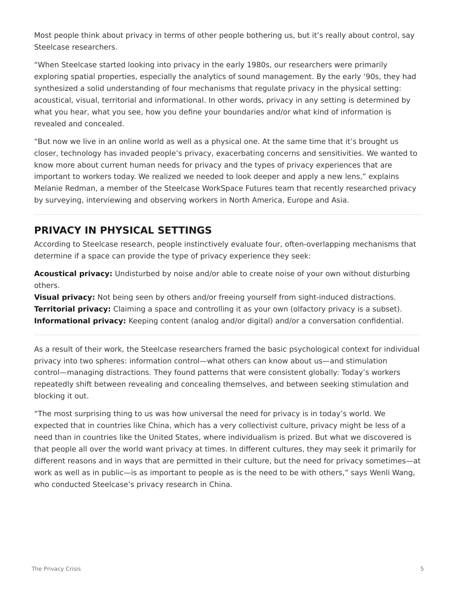Most people think about privacy in terms of other people bothering us, but it's really about control, say Steelcase researchers.

"When Steelcase started looking into privacy in the early 1980s, our researchers were primarily exploring spatial properties, especially the analytics of sound management. By the early '90s, they had synthesized a solid understanding of four mechanisms that regulate privacy in the physical setting: acoustical, visual, territorial and informational. In other words, privacy in any setting is determined by what you hear, what you see, how you define your boundaries and/or what kind of information is revealed and concealed.

"But now we live in an online world as well as a physical one. At the same time that it's brought us closer, technology has invaded people's privacy, exacerbating concerns and sensitivities. We wanted to know more about current human needs for privacy and the types of privacy experiences that are important to workers today. We realized we needed to look deeper and apply a new lens," explains Melanie Redman, a member of the Steelcase WorkSpace Futures team that recently researched privacy by surveying, interviewing and observing workers in North America, Europe and Asia.

# **PRIVACY IN PHYSICAL SETTINGS**

According to Steelcase research, people instinctively evaluate four, often-overlapping mechanisms that determine if a space can provide the type of privacy experience they seek:

**Acoustical privacy:** Undisturbed by noise and/or able to create noise of your own without disturbing others.

**Visual privacy:** Not being seen by others and/or freeing yourself from sight-induced distractions. **Territorial privacy:** Claiming a space and controlling it as your own (olfactory privacy is a subset). **Informational privacy:** Keeping content (analog and/or digital) and/or a conversation confidential.

As a result of their work, the Steelcase researchers framed the basic psychological context for individual privacy into two spheres: information control—what others can know about us—and stimulation control—managing distractions. They found patterns that were consistent globally: Today's workers repeatedly shift between revealing and concealing themselves, and between seeking stimulation and blocking it out.

"The most surprising thing to us was how universal the need for privacy is in today's world. We expected that in countries like China, which has a very collectivist culture, privacy might be less of a need than in countries like the United States, where individualism is prized. But what we discovered is that people all over the world want privacy at times. In different cultures, they may seek it primarily for different reasons and in ways that are permitted in their culture, but the need for privacy sometimes—at work as well as in public—is as important to people as is the need to be with others," says Wenli Wang, who conducted Steelcase's privacy research in China.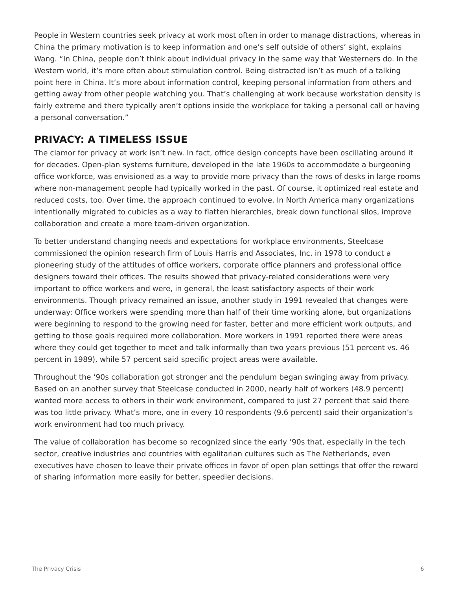People in Western countries seek privacy at work most often in order to manage distractions, whereas in China the primary motivation is to keep information and one's self outside of others' sight, explains Wang. "In China, people don't think about individual privacy in the same way that Westerners do. In the Western world, it's more often about stimulation control. Being distracted isn't as much of a talking point here in China. It's more about information control, keeping personal information from others and getting away from other people watching you. That's challenging at work because workstation density is fairly extreme and there typically aren't options inside the workplace for taking a personal call or having a personal conversation."

## **PRIVACY: A TIMELESS ISSUE**

The clamor for privacy at work isn't new. In fact, office design concepts have been oscillating around it for decades. Open-plan systems furniture, developed in the late 1960s to accommodate a burgeoning office workforce, was envisioned as a way to provide more privacy than the rows of desks in large rooms where non-management people had typically worked in the past. Of course, it optimized real estate and reduced costs, too. Over time, the approach continued to evolve. In North America many organizations intentionally migrated to cubicles as a way to flatten hierarchies, break down functional silos, improve collaboration and create a more team-driven organization.

To better understand changing needs and expectations for workplace environments, Steelcase commissioned the opinion research firm of Louis Harris and Associates, Inc. in 1978 to conduct a pioneering study of the attitudes of office workers, corporate office planners and professional office designers toward their offices. The results showed that privacy-related considerations were very important to office workers and were, in general, the least satisfactory aspects of their work environments. Though privacy remained an issue, another study in 1991 revealed that changes were underway: Office workers were spending more than half of their time working alone, but organizations were beginning to respond to the growing need for faster, better and more efficient work outputs, and getting to those goals required more collaboration. More workers in 1991 reported there were areas where they could get together to meet and talk informally than two years previous (51 percent vs. 46 percent in 1989), while 57 percent said specific project areas were available.

Throughout the '90s collaboration got stronger and the pendulum began swinging away from privacy. Based on an another survey that Steelcase conducted in 2000, nearly half of workers (48.9 percent) wanted more access to others in their work environment, compared to just 27 percent that said there was too little privacy. What's more, one in every 10 respondents (9.6 percent) said their organization's work environment had too much privacy.

The value of collaboration has become so recognized since the early '90s that, especially in the tech sector, creative industries and countries with egalitarian cultures such as The Netherlands, even executives have chosen to leave their private offices in favor of open plan settings that offer the reward of sharing information more easily for better, speedier decisions.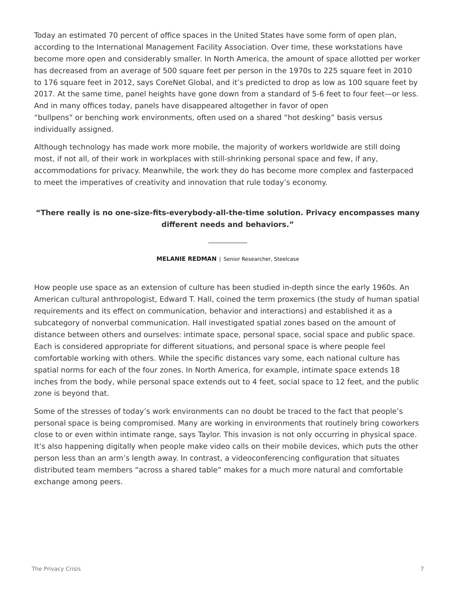Today an estimated 70 percent of office spaces in the United States have some form of open plan, according to the International Management Facility Association. Over time, these workstations have become more open and considerably smaller. In North America, the amount of space allotted per worker has decreased from an average of 500 square feet per person in the 1970s to 225 square feet in 2010 to 176 square feet in 2012, says CoreNet Global, and it's predicted to drop as low as 100 square feet by 2017. At the same time, panel heights have gone down from a standard of 5-6 feet to four feet—or less. And in many offices today, panels have disappeared altogether in favor of open "bullpens" or benching work environments, often used on a shared "hot desking" basis versus individually assigned.

Although technology has made work more mobile, the majority of workers worldwide are still doing most, if not all, of their work in workplaces with still-shrinking personal space and few, if any, accommodations for privacy. Meanwhile, the work they do has become more complex and fasterpaced to meet the imperatives of creativity and innovation that rule today's economy.

### **"There really is no one-size-fits-everybody-all-the-time solution. Privacy encompasses many different needs and behaviors."**

**MELANIE REDMAN** | Senior Researcher, Steelcase

How people use space as an extension of culture has been studied in-depth since the early 1960s. An American cultural anthropologist, Edward T. Hall, coined the term proxemics (the study of human spatial requirements and its effect on communication, behavior and interactions) and established it as a subcategory of nonverbal communication. Hall investigated spatial zones based on the amount of distance between others and ourselves: intimate space, personal space, social space and public space. Each is considered appropriate for different situations, and personal space is where people feel comfortable working with others. While the specific distances vary some, each national culture has spatial norms for each of the four zones. In North America, for example, intimate space extends 18 inches from the body, while personal space extends out to 4 feet, social space to 12 feet, and the public zone is beyond that.

Some of the stresses of today's work environments can no doubt be traced to the fact that people's personal space is being compromised. Many are working in environments that routinely bring coworkers close to or even within intimate range, says Taylor. This invasion is not only occurring in physical space. It's also happening digitally when people make video calls on their mobile devices, which puts the other person less than an arm's length away. In contrast, a videoconferencing configuration that situates distributed team members "across a shared table" makes for a much more natural and comfortable exchange among peers.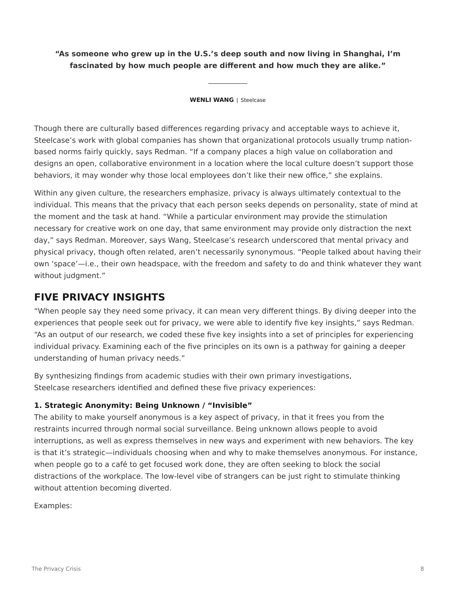### **"As someone who grew up in the U.S.'s deep south and now living in Shanghai, I'm fascinated by how much people are different and how much they are alike."**

#### **WENLI WANG** | Steelcase

Though there are culturally based differences regarding privacy and acceptable ways to achieve it, Steelcase's work with global companies has shown that organizational protocols usually trump nationbased norms fairly quickly, says Redman. "If a company places a high value on collaboration and designs an open, collaborative environment in a location where the local culture doesn't support those behaviors, it may wonder why those local employees don't like their new office," she explains.

Within any given culture, the researchers emphasize, privacy is always ultimately contextual to the individual. This means that the privacy that each person seeks depends on personality, state of mind at the moment and the task at hand. "While a particular environment may provide the stimulation necessary for creative work on one day, that same environment may provide only distraction the next day," says Redman. Moreover, says Wang, Steelcase's research underscored that mental privacy and physical privacy, though often related, aren't necessarily synonymous. "People talked about having their own 'space'—i.e., their own headspace, with the freedom and safety to do and think whatever they want without judament."

## **FIVE PRIVACY INSIGHTS**

"When people say they need some privacy, it can mean very different things. By diving deeper into the experiences that people seek out for privacy, we were able to identify five key insights," says Redman. "As an output of our research, we coded these five key insights into a set of principles for experiencing individual privacy. Examining each of the five principles on its own is a pathway for gaining a deeper understanding of human privacy needs."

By synthesizing findings from academic studies with their own primary investigations, Steelcase researchers identified and defined these five privacy experiences:

### **1. Strategic Anonymity: Being Unknown / "Invisible"**

The ability to make yourself anonymous is a key aspect of privacy, in that it frees you from the restraints incurred through normal social surveillance. Being unknown allows people to avoid interruptions, as well as express themselves in new ways and experiment with new behaviors. The key is that it's strategic—individuals choosing when and why to make themselves anonymous. For instance, when people go to a café to get focused work done, they are often seeking to block the social distractions of the workplace. The low-level vibe of strangers can be just right to stimulate thinking without attention becoming diverted.

Examples: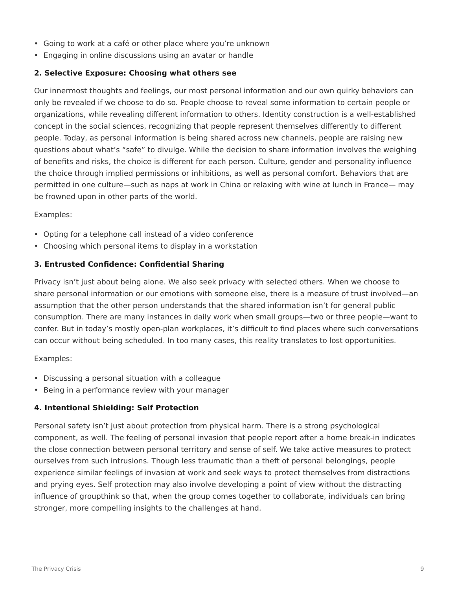- Going to work at a café or other place where you're unknown
- Engaging in online discussions using an avatar or handle

#### **2. Selective Exposure: Choosing what others see**

Our innermost thoughts and feelings, our most personal information and our own quirky behaviors can only be revealed if we choose to do so. People choose to reveal some information to certain people or organizations, while revealing different information to others. Identity construction is a well-established concept in the social sciences, recognizing that people represent themselves differently to different people. Today, as personal information is being shared across new channels, people are raising new questions about what's "safe" to divulge. While the decision to share information involves the weighing of benefits and risks, the choice is different for each person. Culture, gender and personality influence the choice through implied permissions or inhibitions, as well as personal comfort. Behaviors that are permitted in one culture—such as naps at work in China or relaxing with wine at lunch in France— may be frowned upon in other parts of the world.

Examples:

- Opting for a telephone call instead of a video conference
- Choosing which personal items to display in a workstation

#### **3. Entrusted Confidence: Confidential Sharing**

Privacy isn't just about being alone. We also seek privacy with selected others. When we choose to share personal information or our emotions with someone else, there is a measure of trust involved—an assumption that the other person understands that the shared information isn't for general public consumption. There are many instances in daily work when small groups—two or three people—want to confer. But in today's mostly open-plan workplaces, it's difficult to find places where such conversations can occur without being scheduled. In too many cases, this reality translates to lost opportunities.

Examples:

- Discussing a personal situation with a colleague
- Being in a performance review with your manager

### **4. Intentional Shielding: Self Protection**

Personal safety isn't just about protection from physical harm. There is a strong psychological component, as well. The feeling of personal invasion that people report after a home break-in indicates the close connection between personal territory and sense of self. We take active measures to protect ourselves from such intrusions. Though less traumatic than a theft of personal belongings, people experience similar feelings of invasion at work and seek ways to protect themselves from distractions and prying eyes. Self protection may also involve developing a point of view without the distracting influence of groupthink so that, when the group comes together to collaborate, individuals can bring stronger, more compelling insights to the challenges at hand.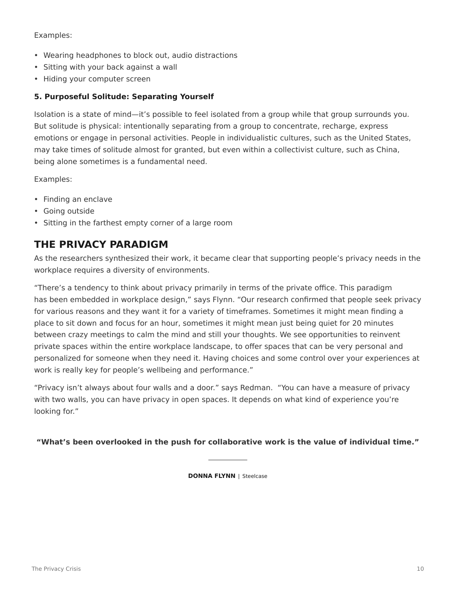### Examples:

- Wearing headphones to block out, audio distractions
- Sitting with your back against a wall
- Hiding your computer screen

### **5. Purposeful Solitude: Separating Yourself**

Isolation is a state of mind—it's possible to feel isolated from a group while that group surrounds you. But solitude is physical: intentionally separating from a group to concentrate, recharge, express emotions or engage in personal activities. People in individualistic cultures, such as the United States, may take times of solitude almost for granted, but even within a collectivist culture, such as China, being alone sometimes is a fundamental need.

Examples:

- Finding an enclave
- Going outside
- Sitting in the farthest empty corner of a large room

## **THE PRIVACY PARADIGM**

As the researchers synthesized their work, it became clear that supporting people's privacy needs in the workplace requires a diversity of environments.

"There's a tendency to think about privacy primarily in terms of the private office. This paradigm has been embedded in workplace design," says Flynn. "Our research confirmed that people seek privacy for various reasons and they want it for a variety of timeframes. Sometimes it might mean finding a place to sit down and focus for an hour, sometimes it might mean just being quiet for 20 minutes between crazy meetings to calm the mind and still your thoughts. We see opportunities to reinvent private spaces within the entire workplace landscape, to offer spaces that can be very personal and personalized for someone when they need it. Having choices and some control over your experiences at work is really key for people's wellbeing and performance."

"Privacy isn't always about four walls and a door." says Redman. "You can have a measure of privacy with two walls, you can have privacy in open spaces. It depends on what kind of experience you're looking for."

**"What's been overlooked in the push for collaborative work is the value of individual time."**

**DONNA FLYNN** | Steelcase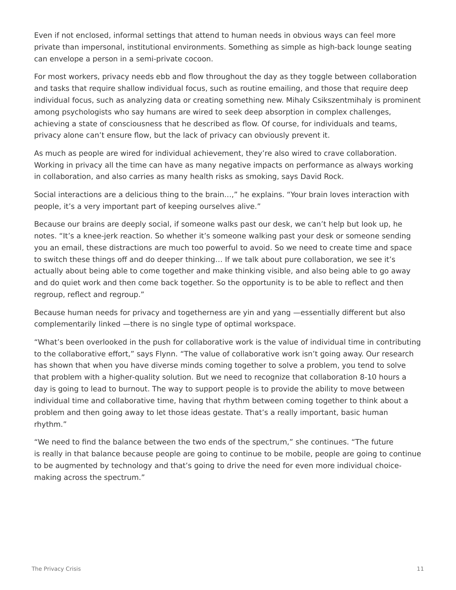Even if not enclosed, informal settings that attend to human needs in obvious ways can feel more private than impersonal, institutional environments. Something as simple as high-back lounge seating can envelope a person in a semi-private cocoon.

For most workers, privacy needs ebb and flow throughout the day as they toggle between collaboration and tasks that require shallow individual focus, such as routine emailing, and those that require deep individual focus, such as analyzing data or creating something new. Mihaly Csikszentmihaly is prominent among psychologists who say humans are wired to seek deep absorption in complex challenges, achieving a state of consciousness that he described as flow. Of course, for individuals and teams, privacy alone can't ensure flow, but the lack of privacy can obviously prevent it.

As much as people are wired for individual achievement, they're also wired to crave collaboration. Working in privacy all the time can have as many negative impacts on performance as always working in collaboration, and also carries as many health risks as smoking, says David Rock.

Social interactions are a delicious thing to the brain…," he explains. "Your brain loves interaction with people, it's a very important part of keeping ourselves alive."

Because our brains are deeply social, if someone walks past our desk, we can't help but look up, he notes. "It's a knee-jerk reaction. So whether it's someone walking past your desk or someone sending you an email, these distractions are much too powerful to avoid. So we need to create time and space to switch these things off and do deeper thinking… If we talk about pure collaboration, we see it's actually about being able to come together and make thinking visible, and also being able to go away and do quiet work and then come back together. So the opportunity is to be able to reflect and then regroup, reflect and regroup."

Because human needs for privacy and togetherness are yin and yang —essentially different but also complementarily linked —there is no single type of optimal workspace.

"What's been overlooked in the push for collaborative work is the value of individual time in contributing to the collaborative effort," says Flynn. "The value of collaborative work isn't going away. Our research has shown that when you have diverse minds coming together to solve a problem, you tend to solve that problem with a higher-quality solution. But we need to recognize that collaboration 8-10 hours a day is going to lead to burnout. The way to support people is to provide the ability to move between individual time and collaborative time, having that rhythm between coming together to think about a problem and then going away to let those ideas gestate. That's a really important, basic human rhythm."

"We need to find the balance between the two ends of the spectrum," she continues. "The future is really in that balance because people are going to continue to be mobile, people are going to continue to be augmented by technology and that's going to drive the need for even more individual choicemaking across the spectrum."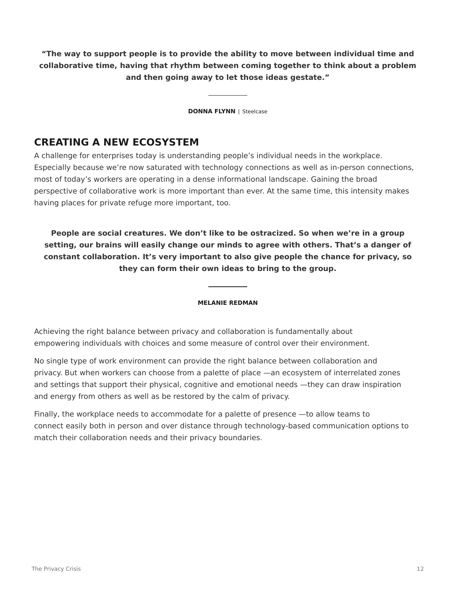**"The way to support people is to provide the ability to move between individual time and collaborative time, having that rhythm between coming together to think about a problem and then going away to let those ideas gestate."**

**DONNA FLYNN** | Steelcase

## **CREATING A NEW ECOSYSTEM**

A challenge for enterprises today is understanding people's individual needs in the workplace. Especially because we're now saturated with technology connections as well as in-person connections, most of today's workers are operating in a dense informational landscape. Gaining the broad perspective of collaborative work is more important than ever. At the same time, this intensity makes having places for private refuge more important, too.

**People are social creatures. We don't like to be ostracized. So when we're in a group setting, our brains will easily change our minds to agree with others. That's a danger of constant collaboration. It's very important to also give people the chance for privacy, so they can form their own ideas to bring to the group.**

#### **MELANIE REDMAN**

Achieving the right balance between privacy and collaboration is fundamentally about empowering individuals with choices and some measure of control over their environment.

No single type of work environment can provide the right balance between collaboration and privacy. But when workers can choose from a palette of place —an ecosystem of interrelated zones and settings that support their physical, cognitive and emotional needs —they can draw inspiration and energy from others as well as be restored by the calm of privacy.

Finally, the workplace needs to accommodate for a palette of presence —to allow teams to connect easily both in person and over distance through technology-based communication options to match their collaboration needs and their privacy boundaries.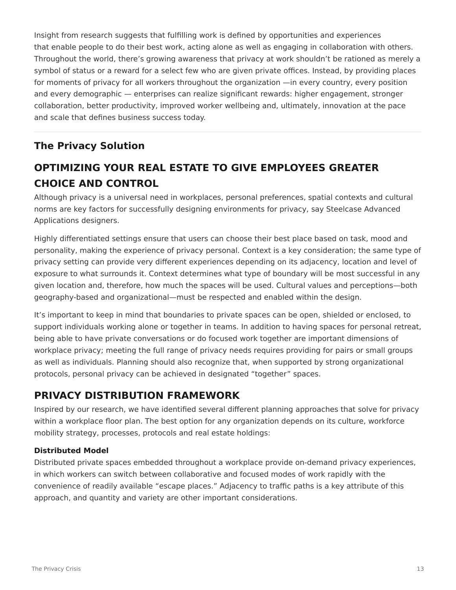Insight from research suggests that fulfilling work is defined by opportunities and experiences that enable people to do their best work, acting alone as well as engaging in collaboration with others. Throughout the world, there's growing awareness that privacy at work shouldn't be rationed as merely a symbol of status or a reward for a select few who are given private offices. Instead, by providing places for moments of privacy for all workers throughout the organization —in every country, every position and every demographic — enterprises can realize significant rewards: higher engagement, stronger collaboration, better productivity, improved worker wellbeing and, ultimately, innovation at the pace and scale that defines business success today.

# **The Privacy Solution**

# **OPTIMIZING YOUR REAL ESTATE TO GIVE EMPLOYEES GREATER CHOICE AND CONTROL**

Although privacy is a universal need in workplaces, personal preferences, spatial contexts and cultural norms are key factors for successfully designing environments for privacy, say Steelcase Advanced Applications designers.

Highly differentiated settings ensure that users can choose their best place based on task, mood and personality, making the experience of privacy personal. Context is a key consideration; the same type of privacy setting can provide very different experiences depending on its adjacency, location and level of exposure to what surrounds it. Context determines what type of boundary will be most successful in any given location and, therefore, how much the spaces will be used. Cultural values and perceptions—both geography-based and organizational—must be respected and enabled within the design.

It's important to keep in mind that boundaries to private spaces can be open, shielded or enclosed, to support individuals working alone or together in teams. In addition to having spaces for personal retreat, being able to have private conversations or do focused work together are important dimensions of workplace privacy; meeting the full range of privacy needs requires providing for pairs or small groups as well as individuals. Planning should also recognize that, when supported by strong organizational protocols, personal privacy can be achieved in designated "together" spaces.

# **PRIVACY DISTRIBUTION FRAMEWORK**

Inspired by our research, we have identified several different planning approaches that solve for privacy within a workplace floor plan. The best option for any organization depends on its culture, workforce mobility strategy, processes, protocols and real estate holdings:

### **Distributed Model**

Distributed private spaces embedded throughout a workplace provide on-demand privacy experiences, in which workers can switch between collaborative and focused modes of work rapidly with the convenience of readily available "escape places." Adjacency to traffic paths is a key attribute of this approach, and quantity and variety are other important considerations.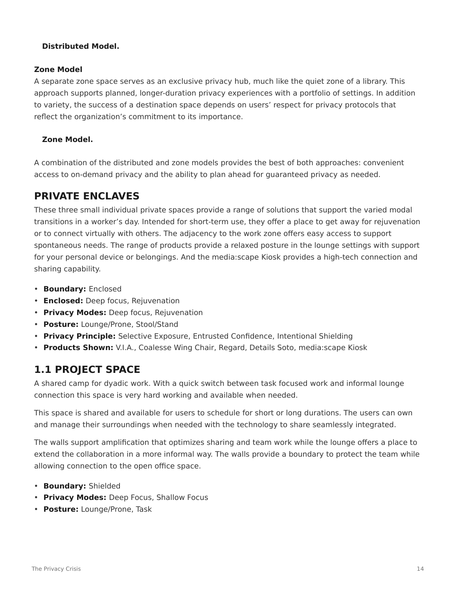### **Distributed Model.**

### **Zone Model**

A separate zone space serves as an exclusive privacy hub, much like the quiet zone of a library. This approach supports planned, longer-duration privacy experiences with a portfolio of settings. In addition to variety, the success of a destination space depends on users' respect for privacy protocols that reflect the organization's commitment to its importance.

### **Zone Model.**

A combination of the distributed and zone models provides the best of both approaches: convenient access to on-demand privacy and the ability to plan ahead for guaranteed privacy as needed.

## **PRIVATE ENCLAVES**

These three small individual private spaces provide a range of solutions that support the varied modal transitions in a worker's day. Intended for short-term use, they offer a place to get away for rejuvenation or to connect virtually with others. The adjacency to the work zone offers easy access to support spontaneous needs. The range of products provide a relaxed posture in the lounge settings with support for your personal device or belongings. And the media:scape Kiosk provides a high-tech connection and sharing capability.

- **Boundary:** Enclosed
- **Enclosed:** Deep focus, Rejuvenation
- **Privacy Modes:** Deep focus, Rejuvenation
- **Posture:** Lounge/Prone, Stool/Stand
- **Privacy Principle:** Selective Exposure, Entrusted Confidence, Intentional Shielding
- **Products Shown:** V.I.A., Coalesse Wing Chair, Regard, Details Soto, media:scape Kiosk

# **1.1 PROJECT SPACE**

A shared camp for dyadic work. With a quick switch between task focused work and informal lounge connection this space is very hard working and available when needed.

This space is shared and available for users to schedule for short or long durations. The users can own and manage their surroundings when needed with the technology to share seamlessly integrated.

The walls support amplification that optimizes sharing and team work while the lounge offers a place to extend the collaboration in a more informal way. The walls provide a boundary to protect the team while allowing connection to the open office space.

- **Boundary:** Shielded
- **Privacy Modes:** Deep Focus, Shallow Focus
- **Posture:** Lounge/Prone, Task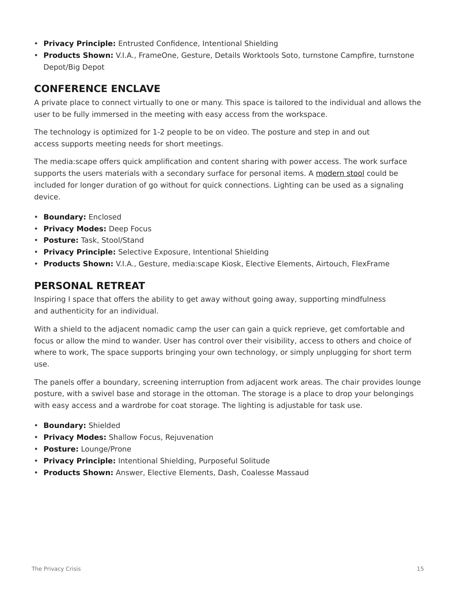- **Privacy Principle:** Entrusted Confidence, Intentional Shielding
- **Products Shown:** V.I.A., FrameOne, Gesture, Details Worktools Soto, turnstone Campfire, turnstone Depot/Big Depot

## **CONFERENCE ENCLAVE**

A private place to connect virtually to one or many. This space is tailored to the individual and allows the user to be fully immersed in the meeting with easy access from the workspace.

The technology is optimized for 1-2 people to be on video. The posture and step in and out access supports meeting needs for short meetings.

The media:scape offers quick amplification and content sharing with power access. The work surface supports the users materials with a secondary surface for personal items. A [modern stool](https://www.steelcase.com/products/stools/) could be included for longer duration of go without for quick connections. Lighting can be used as a signaling device.

- **Boundary:** Enclosed
- **Privacy Modes:** Deep Focus
- **Posture:** Task, Stool/Stand
- **Privacy Principle:** Selective Exposure, Intentional Shielding
- **Products Shown:** V.I.A., Gesture, media:scape Kiosk, Elective Elements, Airtouch, FlexFrame

# **PERSONAL RETREAT**

Inspiring I space that offers the ability to get away without going away, supporting mindfulness and authenticity for an individual.

With a shield to the adjacent nomadic camp the user can gain a quick reprieve, get comfortable and focus or allow the mind to wander. User has control over their visibility, access to others and choice of where to work, The space supports bringing your own technology, or simply unplugging for short term use.

The panels offer a boundary, screening interruption from adjacent work areas. The chair provides lounge posture, with a swivel base and storage in the ottoman. The storage is a place to drop your belongings with easy access and a wardrobe for coat storage. The lighting is adjustable for task use.

- **Boundary:** Shielded
- **Privacy Modes:** Shallow Focus, Rejuvenation
- **Posture:** Lounge/Prone
- **Privacy Principle:** Intentional Shielding, Purposeful Solitude
- **Products Shown:** Answer, Elective Elements, Dash, Coalesse Massaud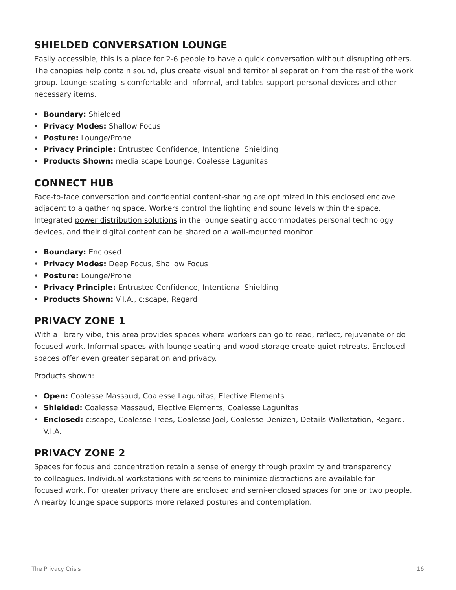# **SHIELDED CONVERSATION LOUNGE**

Easily accessible, this is a place for 2-6 people to have a quick conversation without disrupting others. The canopies help contain sound, plus create visual and territorial separation from the rest of the work group. Lounge seating is comfortable and informal, and tables support personal devices and other necessary items.

- **Boundary:** Shielded
- **Privacy Modes:** Shallow Focus
- **Posture:** Lounge/Prone
- **Privacy Principle:** Entrusted Confidence, Intentional Shielding
- **Products Shown:** media:scape Lounge, Coalesse Lagunitas

# **CONNECT HUB**

Face-to-face conversation and confidential content-sharing are optimized in this enclosed enclave adjacent to a gathering space. Workers control the lighting and sound levels within the space. Integrated power [distribution solutions](https://www.steelcase.com/products/power-flooring/) in the lounge seating accommodates personal technology devices, and their digital content can be shared on a wall-mounted monitor.

- **Boundary:** Enclosed
- **Privacy Modes:** Deep Focus, Shallow Focus
- **Posture:** Lounge/Prone
- **Privacy Principle:** Entrusted Confidence, Intentional Shielding
- **Products Shown:** V.I.A., c:scape, Regard

## **PRIVACY ZONE 1**

With a library vibe, this area provides spaces where workers can go to read, reflect, rejuvenate or do focused work. Informal spaces with lounge seating and wood storage create quiet retreats. Enclosed spaces offer even greater separation and privacy.

Products shown:

- **Open:** Coalesse Massaud, Coalesse Lagunitas, Elective Elements
- **Shielded:** Coalesse Massaud, Elective Elements, Coalesse Lagunitas
- **Enclosed:** c:scape, Coalesse Trees, Coalesse Joel, Coalesse Denizen, Details Walkstation, Regard, V.I.A.

## **PRIVACY ZONE 2**

Spaces for focus and concentration retain a sense of energy through proximity and transparency to colleagues. Individual workstations with screens to minimize distractions are available for focused work. For greater privacy there are enclosed and semi-enclosed spaces for one or two people. A nearby lounge space supports more relaxed postures and contemplation.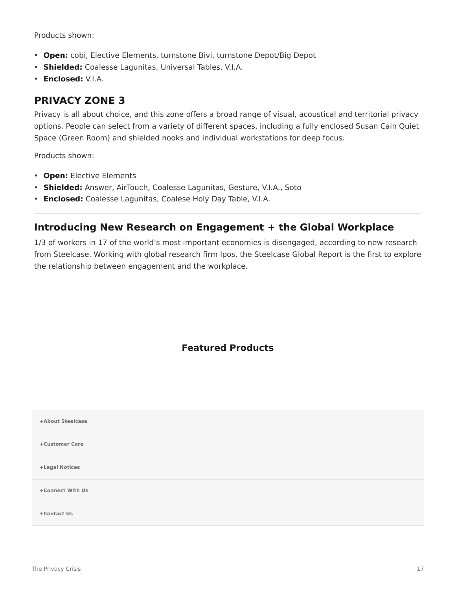Products shown:

- **Open:** cobi, Elective Elements, turnstone Bivi, turnstone Depot/Big Depot
- **Shielded:** Coalesse Lagunitas, Universal Tables, V.I.A.
- **Enclosed:** V.I.A.

# **PRIVACY ZONE 3**

Privacy is all about choice, and this zone offers a broad range of visual, acoustical and territorial privacy options. People can select from a variety of different spaces, including a fully enclosed Susan Cain Quiet Space (Green Room) and shielded nooks and individual workstations for deep focus.

Products shown:

- **Open:** Elective Elements
- **Shielded:** Answer, AirTouch, Coalesse Lagunitas, Gesture, V.I.A., Soto
- **Enclosed:** Coalesse Lagunitas, Coalese Holy Day Table, V.I.A.

## **Introducing New Research on Engagement + the Global Workplace**

1/3 of workers in 17 of the world's most important economies is disengaged, according to new research from Steelcase. Working with global research firm Ipos, the Steelcase Global Report is the first to explore the relationship between engagement and the workplace.

### **Featured Products**

| +About Steelcase |  |
|------------------|--|
| +Customer Care   |  |
| +Legal Notices   |  |
| +Connect With Us |  |
| +Contact Us      |  |